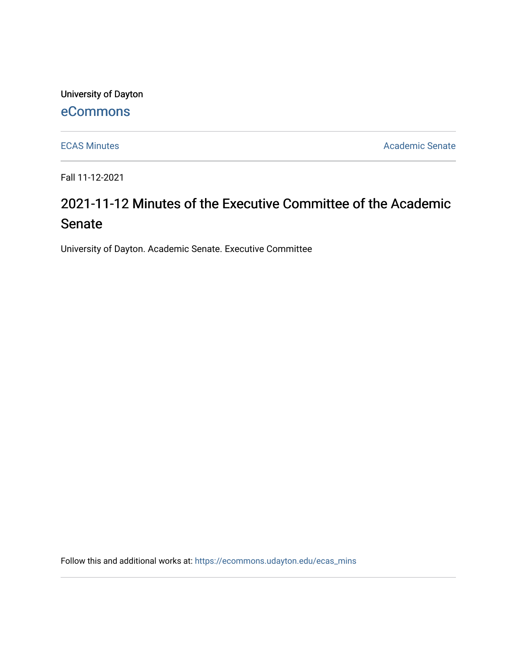University of Dayton

# [eCommons](https://ecommons.udayton.edu/)

[ECAS Minutes](https://ecommons.udayton.edu/ecas_mins) **Academic Senate** 

Fall 11-12-2021

# 2021-11-12 Minutes of the Executive Committee of the Academic Senate

University of Dayton. Academic Senate. Executive Committee

Follow this and additional works at: [https://ecommons.udayton.edu/ecas\\_mins](https://ecommons.udayton.edu/ecas_mins?utm_source=ecommons.udayton.edu%2Fecas_mins%2F549&utm_medium=PDF&utm_campaign=PDFCoverPages)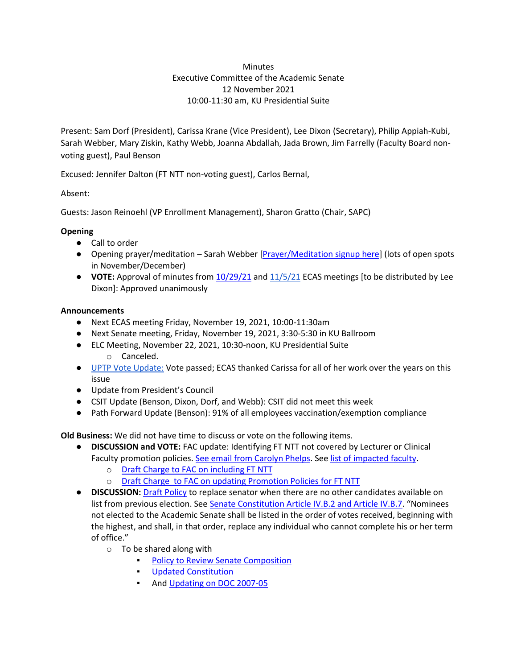### **Minutes** Executive Committee of the Academic Senate 12 November 2021 10:00-11:30 am, KU Presidential Suite

Present: Sam Dorf (President), Carissa Krane (Vice President), Lee Dixon (Secretary), Philip Appiah-Kubi, Sarah Webber, Mary Ziskin, Kathy Webb, Joanna Abdallah, Jada Brown, Jim Farrelly (Faculty Board nonvoting guest), Paul Benson

Excused: Jennifer Dalton (FT NTT non-voting guest), Carlos Bernal,

Absent:

Guests: Jason Reinoehl (VP Enrollment Management), Sharon Gratto (Chair, SAPC)

# **Opening**

- Call to order
- Opening prayer/meditation Sarah Webber [\[Prayer/Meditation signup here\]](https://docs.google.com/document/d/1Say8mwTU7gLV_4XTtxgnfhOrTL-r7Z3r/edit?usp=sharing&ouid=114374222774523335638&rtpof=true&sd=true) (lots of open spots in November/December)
- **VOTE:** Approval of minutes from [10/29/21](https://docs.google.com/document/d/1fMlNUIWZcNS6GVs2XKLMTSlCeEKtSIRV/edit?usp=sharing&ouid=114374222774523335638&rtpof=true&sd=true) an[d 11/5/21](https://docs.google.com/document/d/1zSxcmgcjhkH_TchpNUgdLBB5Ok2HmOkT/edit?usp=sharing&ouid=114374222774523335638&rtpof=true&sd=true) ECAS meetings [to be distributed by Lee Dixon]: Approved unanimously

## **Announcements**

- Next ECAS meeting Friday, November 19, 2021, 10:00-11:30am
- Next Senate meeting, Friday, November 19, 2021, 3:30-5:30 in KU Ballroom
- ELC Meeting, November 22, 2021, 10:30-noon, KU Presidential Suite o Canceled.
- [UPTP Vote Update:](https://docs.google.com/spreadsheets/d/1oVNF8X9GMXFxRY8sG0KoMI1qMUu_6wa2/edit?usp=sharing&ouid=114374222774523335638&rtpof=true&sd=true) Vote passed; ECAS thanked Carissa for all of her work over the years on this issue
- Update from President's Council
- CSIT Update (Benson, Dixon, Dorf, and Webb): CSIT did not meet this week
- Path Forward Update (Benson): 91% of all employees vaccination/exemption compliance

**Old Business:** We did not have time to discuss or vote on the following items.

- **DISCUSSION and VOTE:** FAC update: Identifying FT NTT not covered by Lecturer or Clinical Faculty promotion policies[. See email from Carolyn Phelps.](https://drive.google.com/file/d/1k4vxzJQhZ2qbTRBwbzynkASuo1VUV6nc/view?usp=sharing) See [list of impacted faculty.](https://docs.google.com/spreadsheets/d/1tS-aMXWVVavVfH_ptWILPMVAqLHKiK1e/edit?usp=sharing&ouid=114374222774523335638&rtpof=true&sd=true)
	- o [Draft Charge to FAC on including FT NTT](https://docs.google.com/document/d/14exkpU7O50BZGdXrJhoHMrftc_OskXnSK6jWEN3Rf9o/edit?usp=sharing)
	- o [Draft Charge to FAC on updating Promotion Policies for FT NTT](https://docs.google.com/document/d/1pD6VRf7SO8roHrNuBYj9VOxSC9zQJqNh554XmwnC-cI/edit?usp=sharing)
- **DISCUSSION:** [Draft](https://docs.google.com/document/d/1BpZ_bDP8P1-rgzbuNjU3DXPFjjlztgrl/edit?usp=sharing&ouid=114374222774523335638&rtpof=true&sd=true) [Policy](https://docs.google.com/document/d/1BpZ_bDP8P1-rgzbuNjU3DXPFjjlztgrl/edit?usp=sharing&ouid=114374222774523335638&rtpof=true&sd=true) to replace senator when there are no other candidates available on list from previous election. See [Senate Constitution Article IV.B.2 and Article IV.B.7](https://ecommons.udayton.edu/senate_governance/12/). "Nominees not elected to the Academic Senate shall be listed in the order of votes received, beginning with the highest, and shall, in that order, replace any individual who cannot complete his or her term of office."
	- $\circ$  To be shared along with
		- **[Policy to Review Senate Composition](https://docs.google.com/document/d/11cxi6x-Kpg5wlhPY7hIm8AUj76WvCQWx/edit?usp=sharing&ouid=114374222774523335638&rtpof=true&sd=true)**
		- [Updated Constitution](https://docs.google.com/document/d/1uppexRYzNvnkk4weM51WR7lJPrHs7BAk/edit?usp=sharing&ouid=114374222774523335638&rtpof=true&sd=true)
		- And [Updating on DOC 2007-05](https://docs.google.com/document/d/1MLG4EgNTOO2D21b7HPeKxP8NyFqnwy1O/edit?usp=sharing&ouid=114374222774523335638&rtpof=true&sd=true)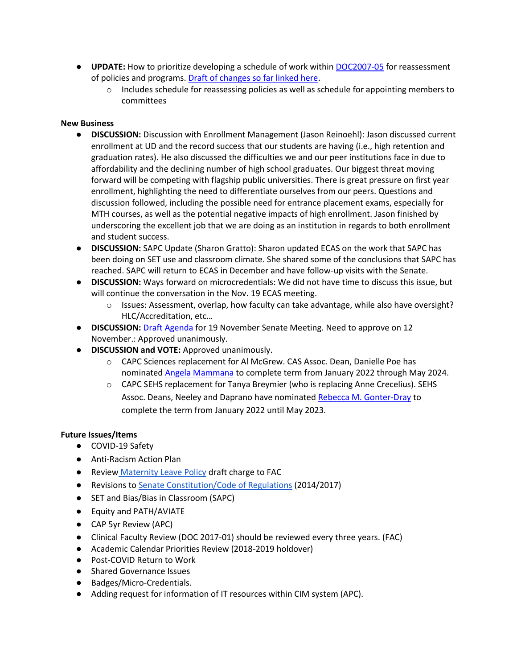- **UPDATE:** How to prioritize developing a schedule of work within [DOC2007-05](https://ecommons.udayton.edu/senate_governance/16/) for reassessment of policies and programs. [Draft of changes so far linked here.](https://docs.google.com/document/d/1MLG4EgNTOO2D21b7HPeKxP8NyFqnwy1O/edit?usp=sharing&ouid=114374222774523335638&rtpof=true&sd=true)
	- o Includes schedule for reassessing policies as well as schedule for appointing members to committees

#### **New Business**

- **DISCUSSION:** Discussion with Enrollment Management (Jason Reinoehl): Jason discussed current enrollment at UD and the record success that our students are having (i.e., high retention and graduation rates). He also discussed the difficulties we and our peer institutions face in due to affordability and the declining number of high school graduates. Our biggest threat moving forward will be competing with flagship public universities. There is great pressure on first year enrollment, highlighting the need to differentiate ourselves from our peers. Questions and discussion followed, including the possible need for entrance placement exams, especially for MTH courses, as well as the potential negative impacts of high enrollment. Jason finished by underscoring the excellent job that we are doing as an institution in regards to both enrollment and student success.
- **DISCUSSION:** SAPC Update (Sharon Gratto): Sharon updated ECAS on the work that SAPC has been doing on SET use and classroom climate. She shared some of the conclusions that SAPC has reached. SAPC will return to ECAS in December and have follow-up visits with the Senate.
- **DISCUSSION:** Ways forward on microcredentials: We did not have time to discuss this issue, but will continue the conversation in the Nov. 19 ECAS meeting.
	- $\circ$  Issues: Assessment, overlap, how faculty can take advantage, while also have oversight? HLC/Accreditation, etc…
- **DISCUSSION:** [Draft Agenda](https://docs.google.com/document/d/1EA8NXHUQew01Y981hxbzIZZomLv1AfXp/edit?usp=sharing&ouid=114374222774523335638&rtpof=true&sd=true) for 19 November Senate Meeting. Need to approve on 12 November.: Approved unanimously.
- **DISCUSSION and VOTE:** Approved unanimously.
	- o CAPC Sciences replacement for Al McGrew. CAS Assoc. Dean, Danielle Poe has nominated [Angela Mammana](https://udayton.edu/directory/artssciences/chemistry/mammana_angela.php) to complete term from January 2022 through May 2024.
	- $\circ$  CAPC SEHS replacement for Tanya Breymier (who is replacing Anne Crecelius). SEHS Assoc. Deans, Neeley and Daprano have nominate[d](https://udayton.edu/directory/education/hss/gonter-dray_rebecca.php) [Rebecca M. Gonter-Dray](https://udayton.edu/directory/education/hss/gonter-dray_rebecca.php) to complete the term from January 2022 until May 2023.

#### **Future Issues/Items**

- COVID-19 Safety
- Anti-Racism Action Plan
- Review [Maternity Leave Policy](https://ecommons.udayton.edu/cgi/viewcontent.cgi?article=1038&context=senate_docs) draft charge to FAC
- Revisions to [Senate Constitution/Code of Regulations](https://drive.google.com/file/d/1FE4HIp5nKgfgFEpzkthtUeF-u_54WgeA/view?usp=sharing) (2014/2017)
- SET and Bias/Bias in Classroom (SAPC)
- Equity and PATH/AVIATE
- CAP 5yr Review (APC)
- Clinical Faculty Review (DOC 2017-01) should be reviewed every three years. (FAC)
- Academic Calendar Priorities Review (2018-2019 holdover)
- Post-COVID Return to Work
- Shared Governance Issues
- Badges/Micro-Credentials.
- Adding request for information of IT resources within CIM system (APC).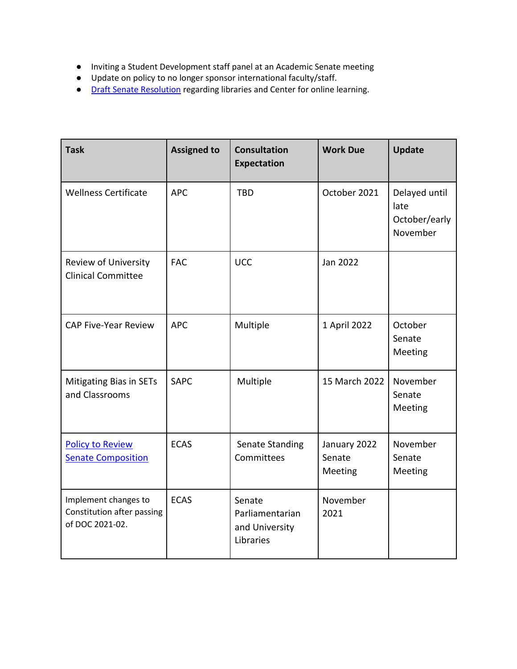- Inviting a Student Development staff panel at an Academic Senate meeting
- Update on policy to no longer sponsor international faculty/staff.
- [Draft Senate](https://docs.google.com/document/d/1xjJPkvF1RwPx6ox_v4-haphE0rYF4g6j/edit?usp=sharing&ouid=114374222774523335638&rtpof=true&sd=true) [Resolution](https://docs.google.com/document/d/1xjJPkvF1RwPx6ox_v4-haphE0rYF4g6j/edit?usp=sharing&ouid=114374222774523335638&rtpof=true&sd=true) regarding libraries and Center for online learning.

| <b>Task</b>                                                           | <b>Assigned to</b> | <b>Consultation</b><br>Expectation                       | <b>Work Due</b>                   | <b>Update</b>                                      |
|-----------------------------------------------------------------------|--------------------|----------------------------------------------------------|-----------------------------------|----------------------------------------------------|
| <b>Wellness Certificate</b>                                           | <b>APC</b>         | <b>TBD</b>                                               | October 2021                      | Delayed until<br>late<br>October/early<br>November |
| Review of University<br><b>Clinical Committee</b>                     | <b>FAC</b>         | <b>UCC</b>                                               | Jan 2022                          |                                                    |
| <b>CAP Five-Year Review</b>                                           | <b>APC</b>         | Multiple                                                 | 1 April 2022                      | October<br>Senate<br>Meeting                       |
| <b>Mitigating Bias in SETs</b><br>and Classrooms                      | <b>SAPC</b>        | Multiple                                                 | 15 March 2022                     | November<br>Senate<br>Meeting                      |
| <b>Policy to Review</b><br><b>Senate Composition</b>                  | <b>ECAS</b>        | Senate Standing<br>Committees                            | January 2022<br>Senate<br>Meeting | November<br>Senate<br>Meeting                      |
| Implement changes to<br>Constitution after passing<br>of DOC 2021-02. | <b>ECAS</b>        | Senate<br>Parliamentarian<br>and University<br>Libraries | November<br>2021                  |                                                    |